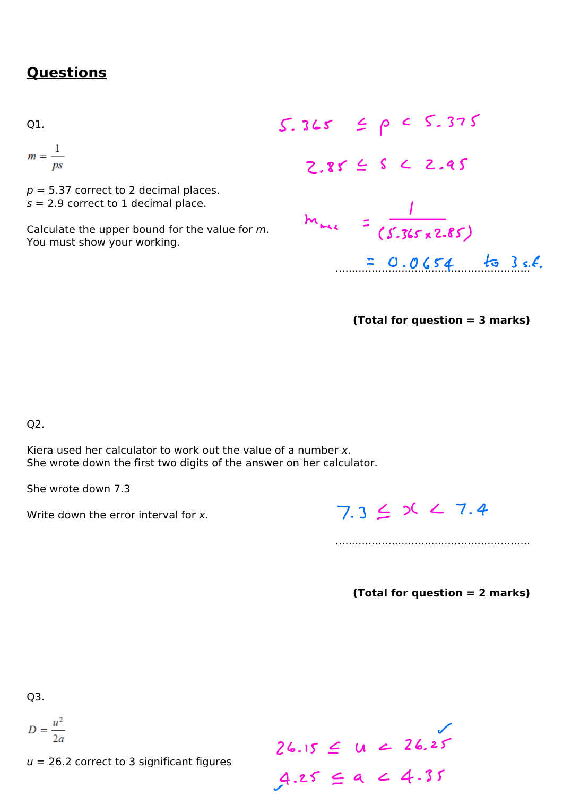## **Ouestions**

01.

$$
m=\frac{1}{ps}
$$

 $p = 5.37$  correct to 2 decimal places.  $s = 2.9$  correct to 1 decimal place.

Calculate the upper bound for the value for m. You must show your working.

S. 365 
$$
\leq \rho \leq S.375
$$
  
\nZ.85  $\leq S \leq Z.45$   
\n
$$
m_{max} = \frac{1}{(S.365 \times 2.85)}
$$
\n
$$
= 0.0654
$$
 to 3 s.f.

(Total for question  $=$  3 marks)

Q2.

Kiera used her calculator to work out the value of a number x. She wrote down the first two digits of the answer on her calculator.

She wrote down 7.3

Write down the error interval for x.

 $7.3 \leq 20 \leq 7.4$ 

(Total for question  $= 2$  marks)

Q3.

$$
D = \frac{u^2}{2a}
$$

 $u = 26.2$  correct to 3 significant figures

 $26.15 \le u \le 26.25$ <br> $4.25 \le a \le 4.35$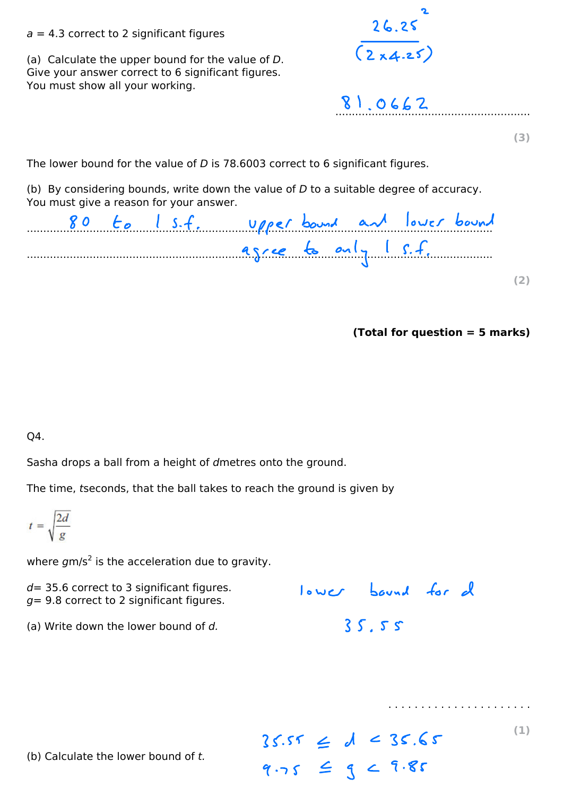## $a = 4.3$  correct to 2 significant figures

(a) Calculate the upper bound for the value of  $D$ . Give your answer correct to 6 significant figures. You must show all your working.

26.252  $(2x4.25)$ 

81.0662

 $(3)$ 

The lower bound for the value of D is 78.6003 correct to 6 significant figures.

(b) By considering bounds, write down the value of  $D$  to a suitable degree of accuracy. You must give a reason for your answer.

|  |  |  |  |                      |  | 80 to 1 s.f. upper bound and lower bound |  |
|--|--|--|--|----------------------|--|------------------------------------------|--|
|  |  |  |  | asree to only I s.f. |  |                                          |  |
|  |  |  |  |                      |  |                                          |  |
|  |  |  |  |                      |  |                                          |  |

 $Total for question = 5 marks$ 

Q4.

Sasha drops a ball from a height of dmetres onto the ground.

The time, tseconds, that the ball takes to reach the ground is given by

$$
t = \sqrt{\frac{2d}{g}}
$$

where  $gm/s^2$  is the acceleration due to gravity.

 $d = 35.6$  correct to 3 significant figures.  $q = 9.8$  correct to 2 significant figures. lower bound for d 35.55

(a) Write down the lower bound of  $d$ .

 $35.55 \le d < 35.65$  $9.75 \leq 9 < 9.85$ 

 $(1)$ 

(b) Calculate the lower bound of  $t$ .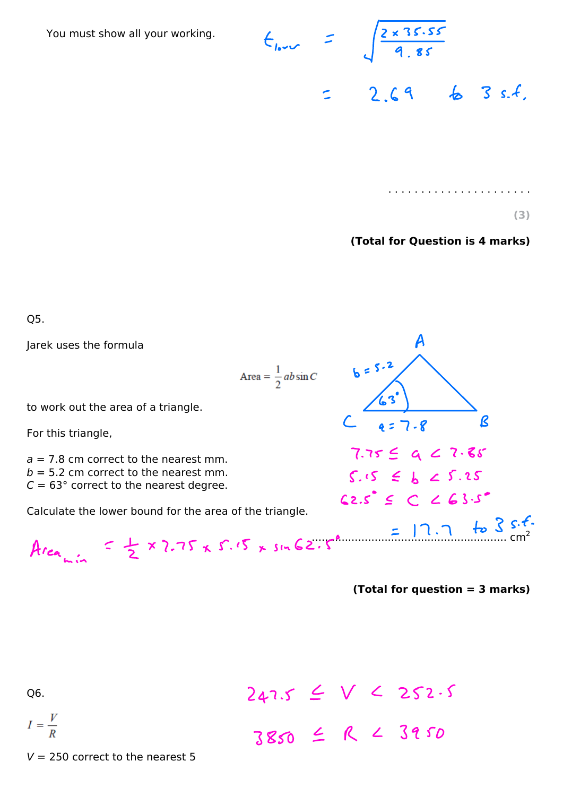You must show all your working.

$$
t_{low} = \sqrt{\frac{2 \times 35.55}{9.85}}
$$
  
= 2.69 8 3 s.f.

 $(3)$ 

(Total for Question is 4 marks)

A

 $4 = 7 - 8$ 

 $7.7559$  a  $2.7.85$ 

 $S.S \subseteq b \subseteq S.25$ 

 $62.5^{\circ} \le C \le 63.5^{\circ}$ 

 $b = 5.2$ 

 $\mathcal{R}$ 

O<sub>5</sub>.

Jarek uses the formula

Area =  $\frac{1}{2}$  ab sin C

to work out the area of a triangle.

For this triangle,

 $a = 7.8$  cm correct to the nearest mm.  $b = 5.2$  cm correct to the nearest mm.  $C = 63^{\circ}$  correct to the nearest degree.

Calculate the lower bound for the area of the triangle.

$$
Area_{min} = \frac{1}{2} \times 2.75 \times 5.5 \times sin 62.5^{\circ}
$$
 = 17.7 to 3 s.f.  
Area<sub>min</sub> = 2

(Total for question = 3 marks)

Q6.

$$
I = \frac{V}{R}
$$

 $247.5 \leq V \leq 252.5$ <br>3850  $\leq R \leq 39.50$ 

 $V = 250$  correct to the nearest 5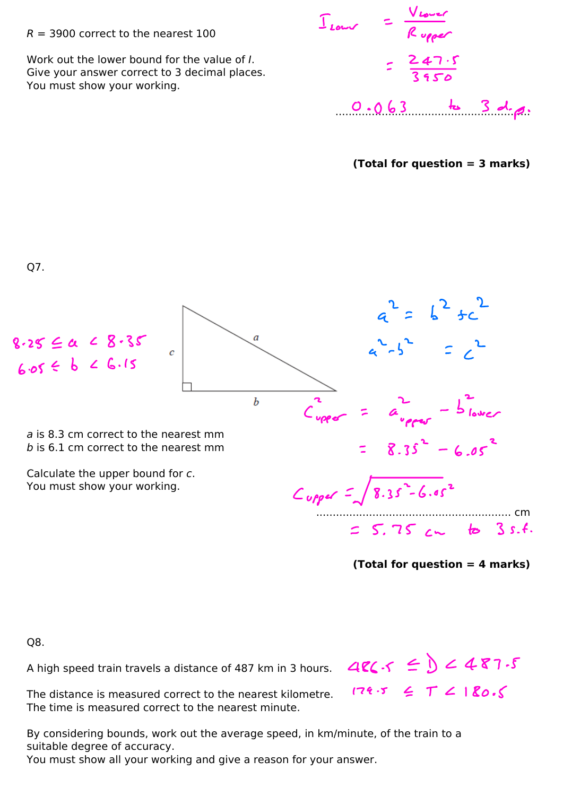## $R = 3900$  correct to the nearest 100

Work out the lower bound for the value of I. Give your answer correct to 3 decimal places. You must show your working.

|                       | Vrouer                 |  |  |  |  |  |
|-----------------------|------------------------|--|--|--|--|--|
| $\Gamma_{\text{low}}$ | Rupper                 |  |  |  |  |  |
|                       | $= \frac{247.5}{3950}$ |  |  |  |  |  |
|                       | $0.063$ to 3 d.g.      |  |  |  |  |  |

(Total for question = 3 marks)



(Total for question  $=$  4 marks)

Q8.

A high speed train travels a distance of 487 km in 3 hours.

The distance is measured correct to the nearest kilometre. The time is measured correct to the nearest minute.

By considering bounds, work out the average speed, in km/minute, of the train to a suitable degree of accuracy.

You must show all your working and give a reason for your answer.